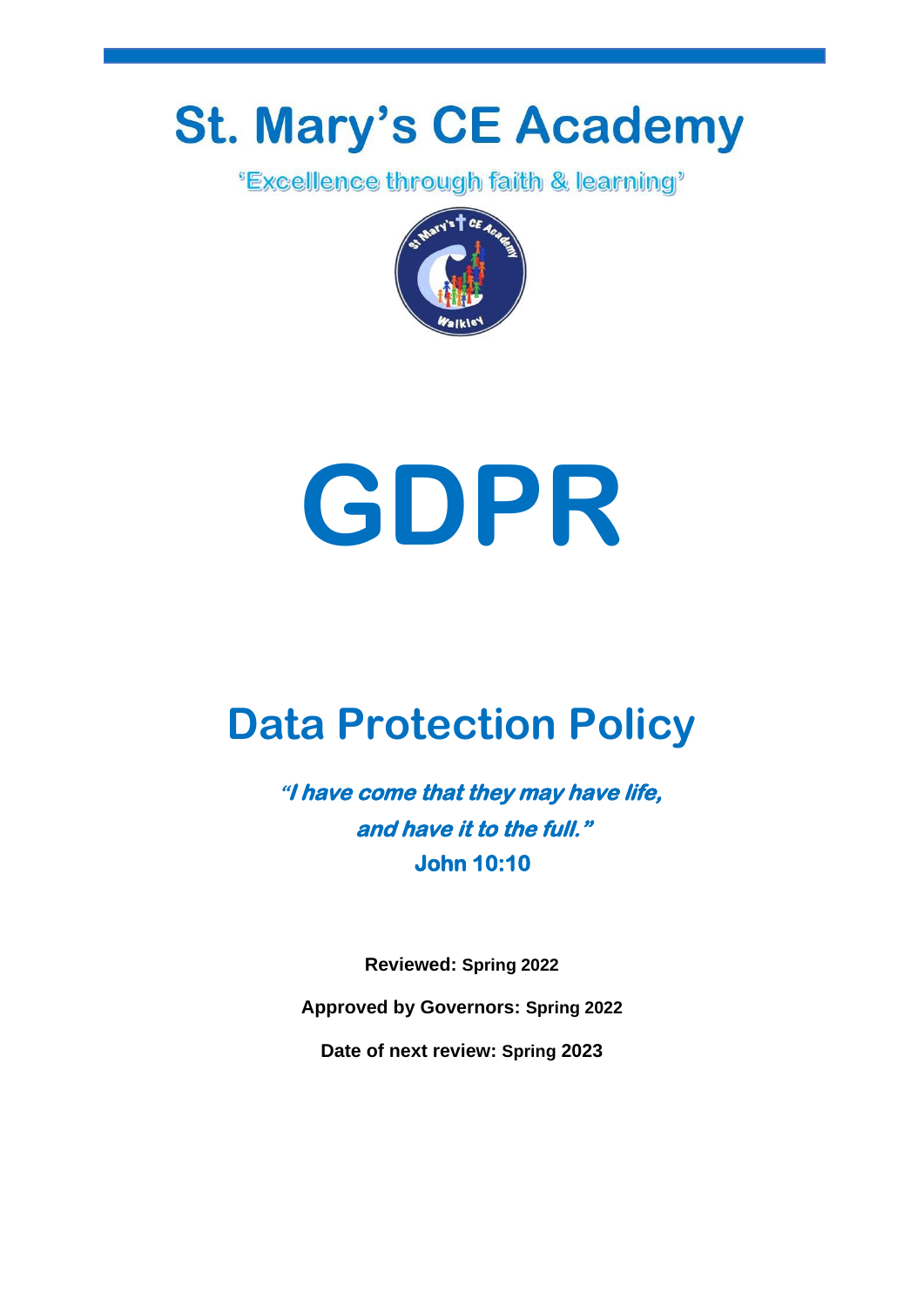## **St. Mary's CE Academy**

*'Excellence through faith & learning'* 



# **GDPR**

## **Data Protection Policy**

**"I have come that they may have life, and have it to the full." John 10:10** 

**Reviewed: Spring 2022**

**Approved by Governors: Spring 2022**

**Date of next review: Spring 2023**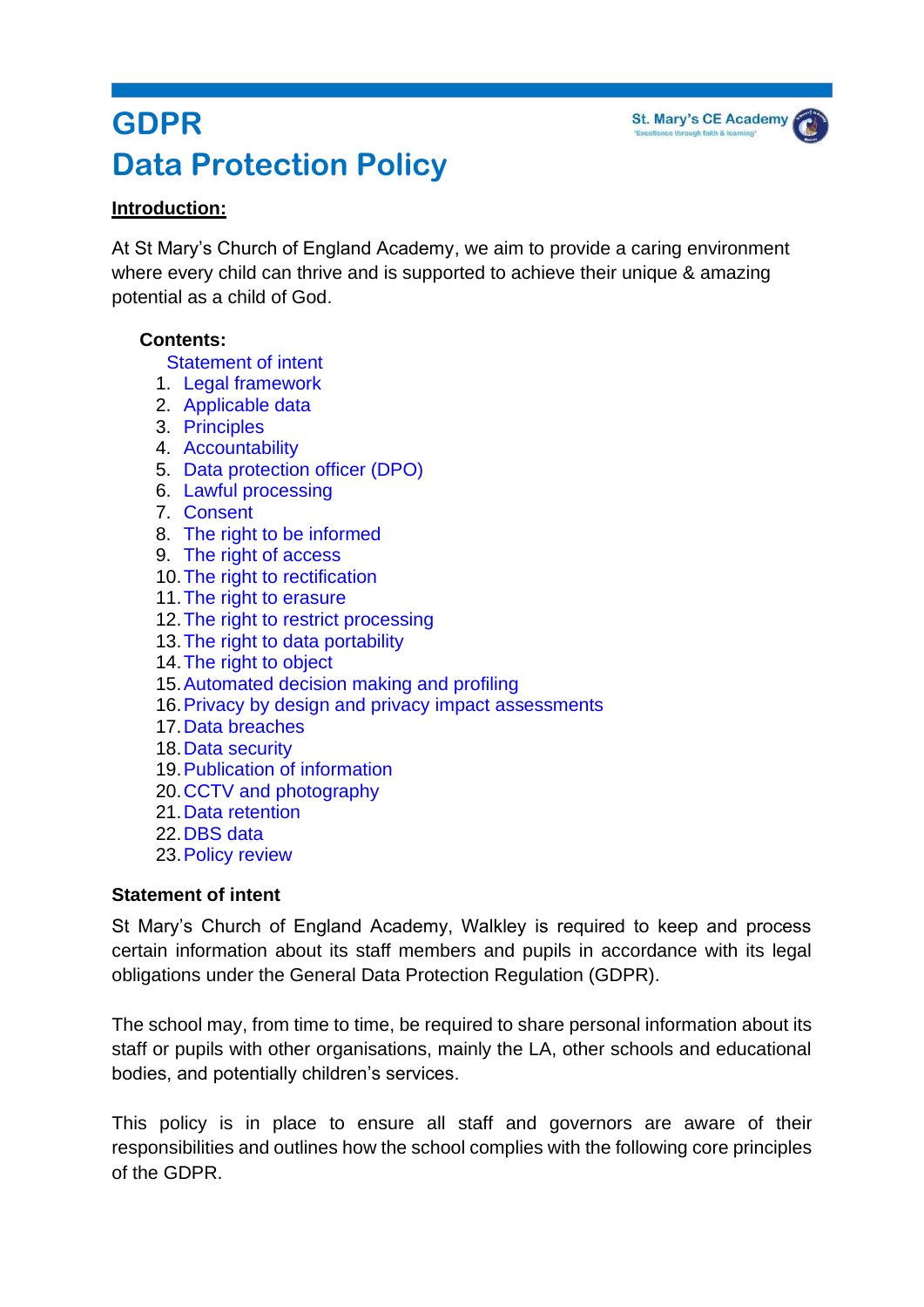### **GDPR Data Protection Policy**

#### **Introduction:**

At St Mary's Church of England Academy, we aim to provide a caring environment where every child can thrive and is supported to achieve their unique & amazing potential as a child of God.

**St. Mary's CE Academy** 

#### **Contents:**

[Statement of intent](#page-1-0)

- 1. Legal framework
- 2. [Applicable data](#page-2-0)
- 3. [Principles](#page-3-0)
- 4. [Accountability](#page-3-1)
- 5. [Data protection officer \(DPO\)](#page-4-0)
- 6. [Lawful processing](#page-5-0)
- 7. [Consent](#page-6-0)
- 8. [The right to be informed](#page-6-1)
- 9. [The right of access](#page-8-0)
- 10[.The right to rectification](#page-8-1)
- 11[.The right to erasure](#page-9-0)
- 12. The right to restrict processing
- 13[.The right to data portability](#page-10-1)
- 14[.The right to object](#page-11-0)
- 15[.Automated decision making and profiling](#page-12-0)
- 16[.Privacy by design and privacy impact assessments](#page-13-0)
- 17[.Data breaches](#page-14-0)
- 18[.Data security](#page-15-0)
- 19[.Publication of information](#page-16-0)
- 20[.CCTV and photography](#page-16-1)
- 21[.Data retention](#page-17-0)
- 22[.DBS data](#page-17-1)
- 23[.Policy review](#page-17-2)

#### <span id="page-1-0"></span>**Statement of intent**

St Mary's Church of England Academy, Walkley is required to keep and process certain information about its staff members and pupils in accordance with its legal obligations under the General Data Protection Regulation (GDPR).

The school may, from time to time, be required to share personal information about its staff or pupils with other organisations, mainly the LA, other schools and educational bodies, and potentially children's services.

This policy is in place to ensure all staff and governors are aware of their responsibilities and outlines how the school complies with the following core principles of the GDPR.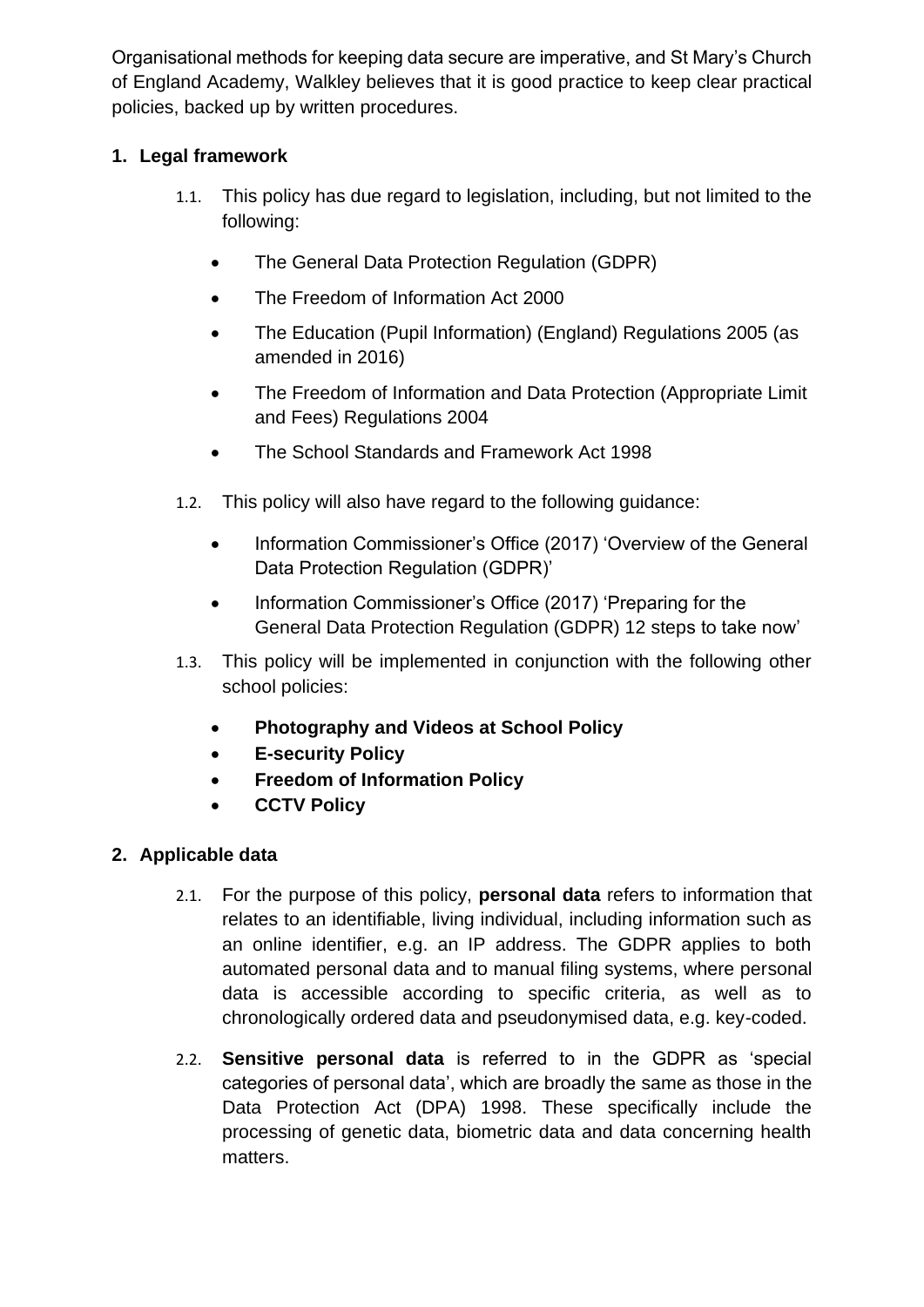Organisational methods for keeping data secure are imperative, and St Mary's Church of England Academy, Walkley believes that it is good practice to keep clear practical policies, backed up by written procedures.

#### **1. Legal framework**

- 1.1. This policy has due regard to legislation, including, but not limited to the following:
	- The General Data Protection Regulation (GDPR)
	- The Freedom of Information Act 2000
	- The Education (Pupil Information) (England) Regulations 2005 (as amended in 2016)
	- The Freedom of Information and Data Protection (Appropriate Limit and Fees) Regulations 2004
	- The School Standards and Framework Act 1998
- 1.2. This policy will also have regard to the following guidance:
	- Information Commissioner's Office (2017) 'Overview of the General Data Protection Regulation (GDPR)'
	- Information Commissioner's Office (2017) 'Preparing for the General Data Protection Regulation (GDPR) 12 steps to take now'
- 1.3. This policy will be implemented in conjunction with the following other school policies:
	- **Photography and Videos at School Policy**
	- **E-security Policy**
	- **Freedom of Information Policy**
	- **CCTV Policy**

#### <span id="page-2-0"></span>**2. Applicable data**

- 2.1. For the purpose of this policy, **personal data** refers to information that relates to an identifiable, living individual, including information such as an online identifier, e.g. an IP address. The GDPR applies to both automated personal data and to manual filing systems, where personal data is accessible according to specific criteria, as well as to chronologically ordered data and pseudonymised data, e.g. key-coded.
- 2.2. **Sensitive personal data** is referred to in the GDPR as 'special categories of personal data', which are broadly the same as those in the Data Protection Act (DPA) 1998. These specifically include the processing of genetic data, biometric data and data concerning health matters.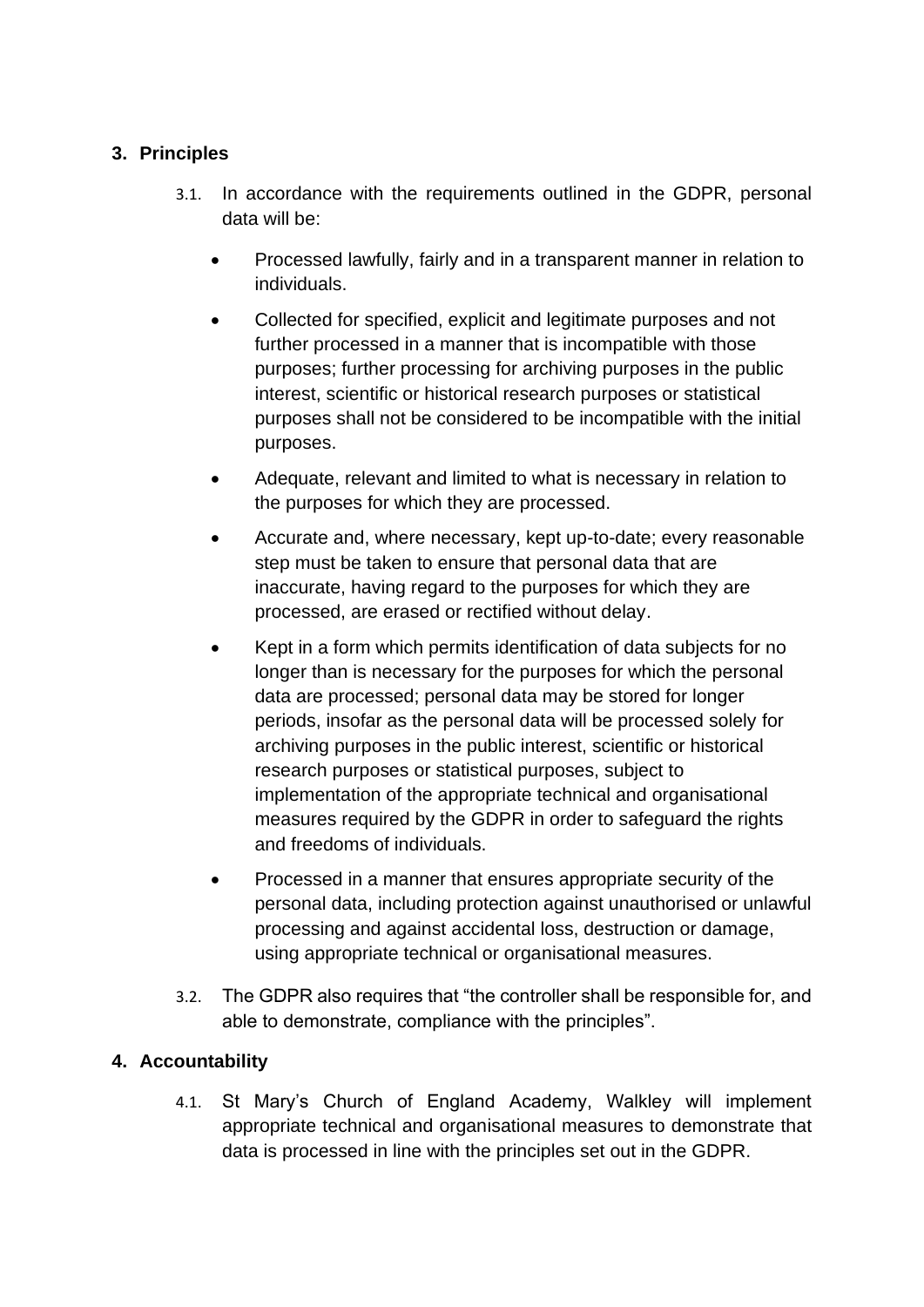#### <span id="page-3-0"></span>**3. Principles**

- 3.1. In accordance with the requirements outlined in the GDPR, personal data will be:
	- Processed lawfully, fairly and in a transparent manner in relation to individuals.
	- Collected for specified, explicit and legitimate purposes and not further processed in a manner that is incompatible with those purposes; further processing for archiving purposes in the public interest, scientific or historical research purposes or statistical purposes shall not be considered to be incompatible with the initial purposes.
	- Adequate, relevant and limited to what is necessary in relation to the purposes for which they are processed.
	- Accurate and, where necessary, kept up-to-date; every reasonable step must be taken to ensure that personal data that are inaccurate, having regard to the purposes for which they are processed, are erased or rectified without delay.
	- Kept in a form which permits identification of data subjects for no longer than is necessary for the purposes for which the personal data are processed; personal data may be stored for longer periods, insofar as the personal data will be processed solely for archiving purposes in the public interest, scientific or historical research purposes or statistical purposes, subject to implementation of the appropriate technical and organisational measures required by the GDPR in order to safeguard the rights and freedoms of individuals.
	- Processed in a manner that ensures appropriate security of the personal data, including protection against unauthorised or unlawful processing and against accidental loss, destruction or damage, using appropriate technical or organisational measures.
- 3.2. The GDPR also requires that "the controller shall be responsible for, and able to demonstrate, compliance with the principles".

#### <span id="page-3-1"></span>**4. Accountability**

4.1. St Mary's Church of England Academy, Walkley will implement appropriate technical and organisational measures to demonstrate that data is processed in line with the principles set out in the GDPR.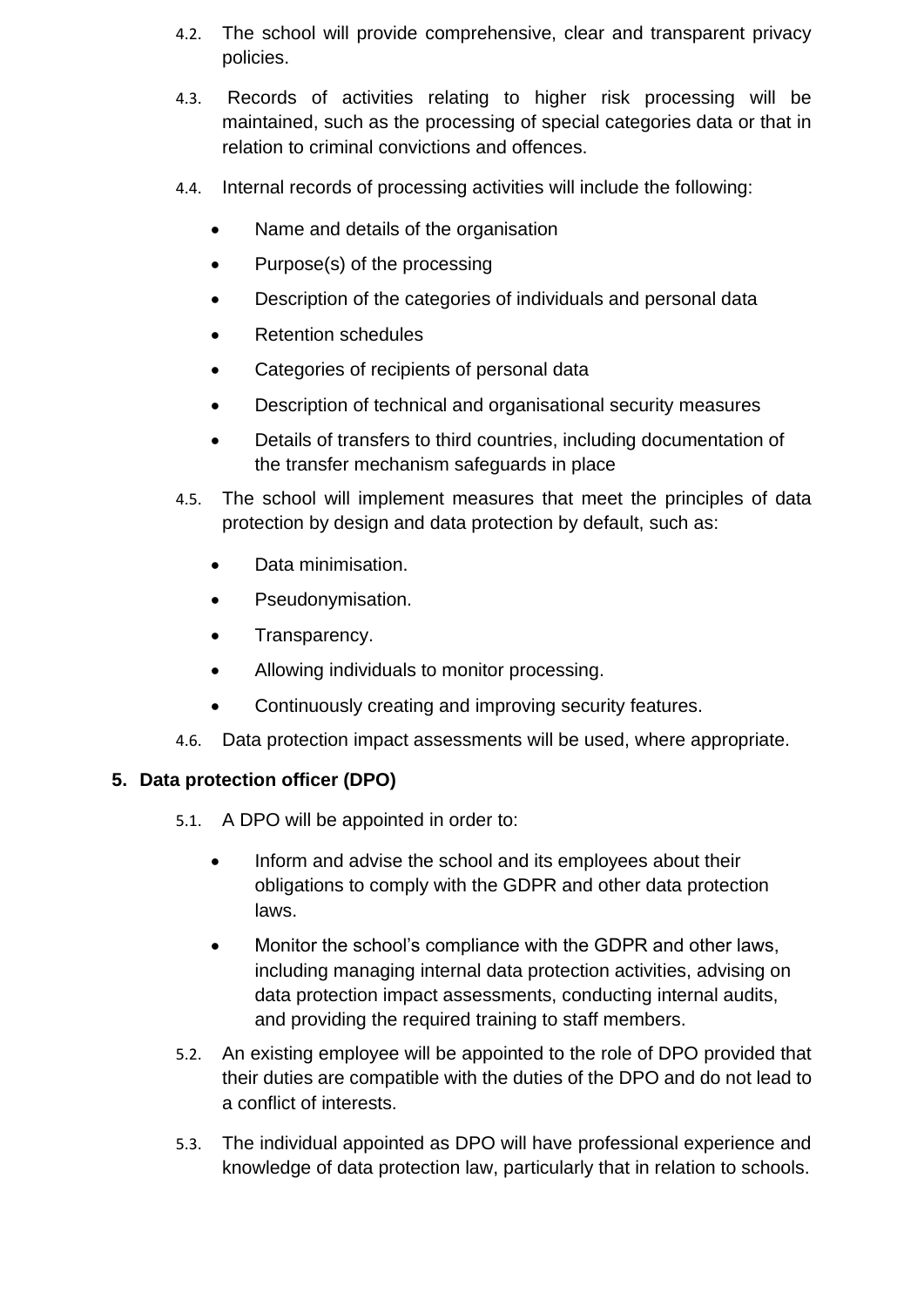- 4.2. The school will provide comprehensive, clear and transparent privacy policies.
- 4.3. Records of activities relating to higher risk processing will be maintained, such as the processing of special categories data or that in relation to criminal convictions and offences.
- 4.4. Internal records of processing activities will include the following:
	- Name and details of the organisation
	- Purpose(s) of the processing
	- Description of the categories of individuals and personal data
	- Retention schedules
	- Categories of recipients of personal data
	- Description of technical and organisational security measures
	- Details of transfers to third countries, including documentation of the transfer mechanism safeguards in place
- 4.5. The school will implement measures that meet the principles of data protection by design and data protection by default, such as:
	- Data minimisation.
	- Pseudonymisation.
	- Transparency.
	- Allowing individuals to monitor processing.
	- Continuously creating and improving security features.
- 4.6. Data protection impact assessments will be used, where appropriate.

#### <span id="page-4-0"></span>**5. Data protection officer (DPO)**

- 5.1. A DPO will be appointed in order to:
	- Inform and advise the school and its employees about their obligations to comply with the GDPR and other data protection laws.
	- Monitor the school's compliance with the GDPR and other laws, including managing internal data protection activities, advising on data protection impact assessments, conducting internal audits, and providing the required training to staff members.
- 5.2. An existing employee will be appointed to the role of DPO provided that their duties are compatible with the duties of the DPO and do not lead to a conflict of interests.
- 5.3. The individual appointed as DPO will have professional experience and knowledge of data protection law, particularly that in relation to schools.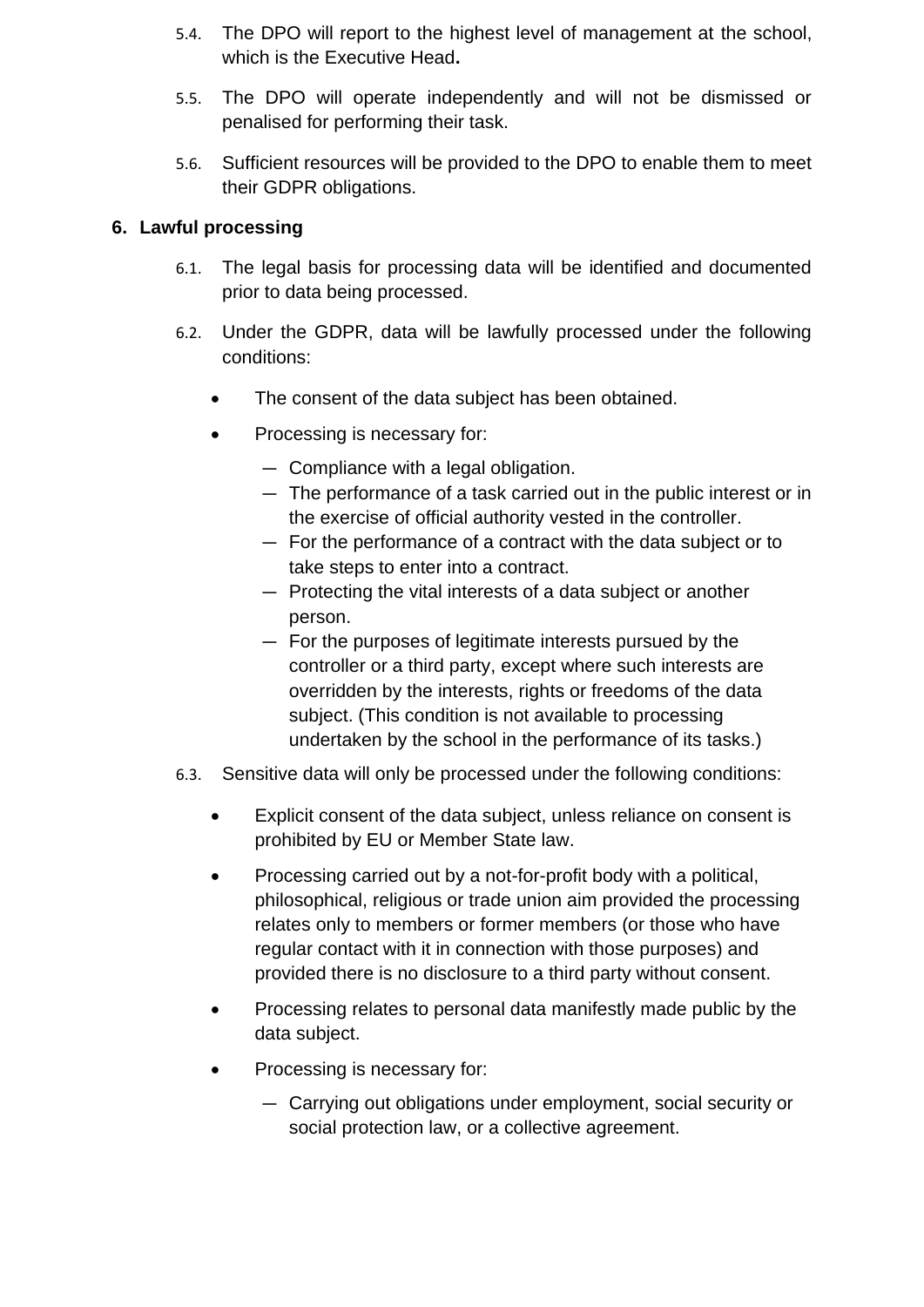- 5.4. The DPO will report to the highest level of management at the school, which is the Executive Head**.**
- 5.5. The DPO will operate independently and will not be dismissed or penalised for performing their task.
- 5.6. Sufficient resources will be provided to the DPO to enable them to meet their GDPR obligations.

#### <span id="page-5-0"></span>**6. Lawful processing**

- 6.1. The legal basis for processing data will be identified and documented prior to data being processed.
- 6.2. Under the GDPR, data will be lawfully processed under the following conditions:
	- The consent of the data subject has been obtained.
	- Processing is necessary for:
		- Compliance with a legal obligation.
		- The performance of a task carried out in the public interest or in the exercise of official authority vested in the controller.
		- For the performance of a contract with the data subject or to take steps to enter into a contract.
		- Protecting the vital interests of a data subject or another person.
		- For the purposes of legitimate interests pursued by the controller or a third party, except where such interests are overridden by the interests, rights or freedoms of the data subject. (This condition is not available to processing undertaken by the school in the performance of its tasks.)
- 6.3. Sensitive data will only be processed under the following conditions:
	- Explicit consent of the data subject, unless reliance on consent is prohibited by EU or Member State law.
	- Processing carried out by a not-for-profit body with a political, philosophical, religious or trade union aim provided the processing relates only to members or former members (or those who have regular contact with it in connection with those purposes) and provided there is no disclosure to a third party without consent.
	- Processing relates to personal data manifestly made public by the data subject.
	- Processing is necessary for:
		- Carrying out obligations under employment, social security or social protection law, or a collective agreement.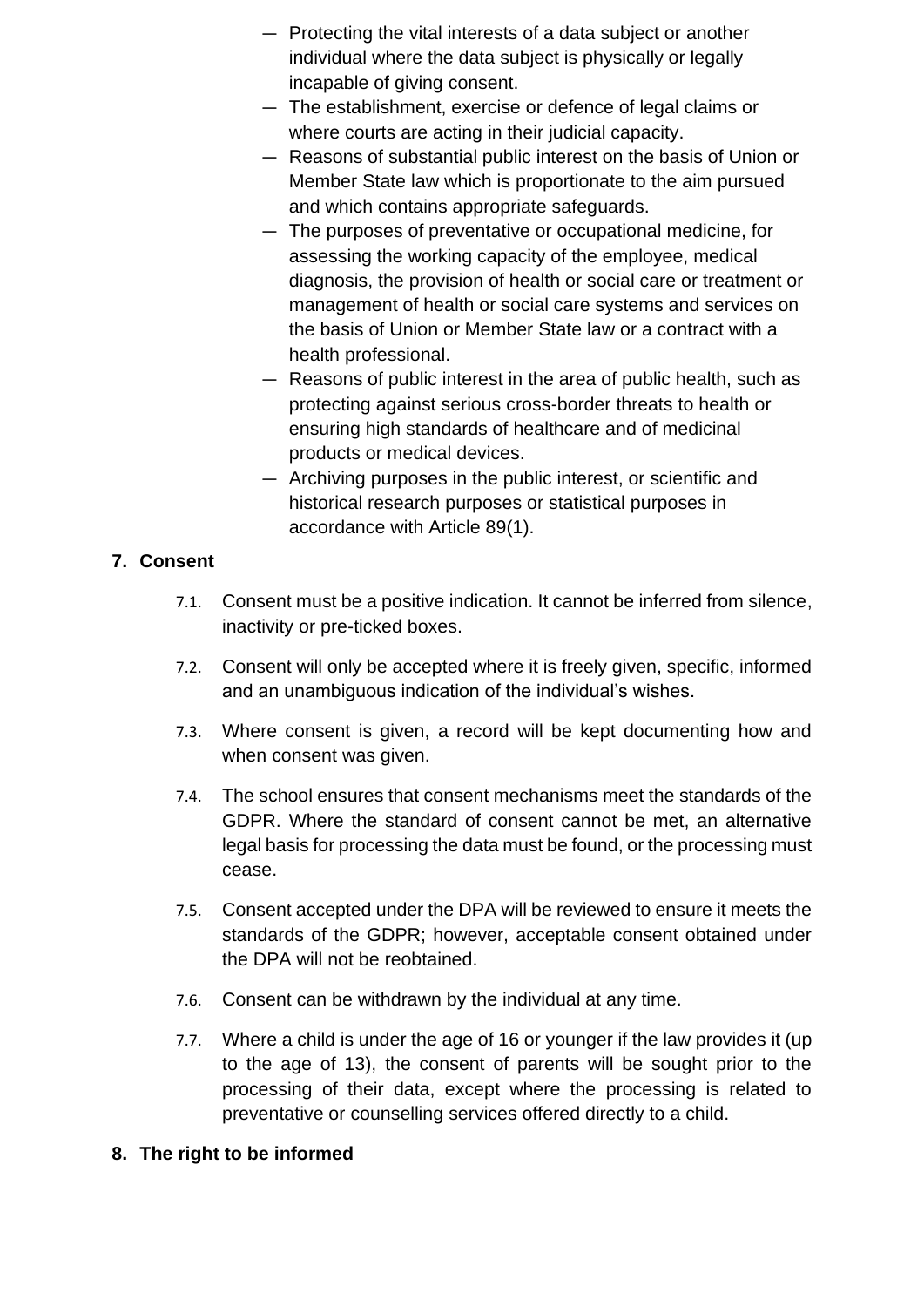- Protecting the vital interests of a data subject or another individual where the data subject is physically or legally incapable of giving consent.
- The establishment, exercise or defence of legal claims or where courts are acting in their judicial capacity.
- Reasons of substantial public interest on the basis of Union or Member State law which is proportionate to the aim pursued and which contains appropriate safeguards.
- The purposes of preventative or occupational medicine, for assessing the working capacity of the employee, medical diagnosis, the provision of health or social care or treatment or management of health or social care systems and services on the basis of Union or Member State law or a contract with a health professional.
- Reasons of public interest in the area of public health, such as protecting against serious cross-border threats to health or ensuring high standards of healthcare and of medicinal products or medical devices.
- Archiving purposes in the public interest, or scientific and historical research purposes or statistical purposes in accordance with Article 89(1).

#### <span id="page-6-0"></span>**7. Consent**

- 7.1. Consent must be a positive indication. It cannot be inferred from silence, inactivity or pre-ticked boxes.
- 7.2. Consent will only be accepted where it is freely given, specific, informed and an unambiguous indication of the individual's wishes.
- 7.3. Where consent is given, a record will be kept documenting how and when consent was given.
- 7.4. The school ensures that consent mechanisms meet the standards of the GDPR. Where the standard of consent cannot be met, an alternative legal basis for processing the data must be found, or the processing must cease.
- 7.5. Consent accepted under the DPA will be reviewed to ensure it meets the standards of the GDPR; however, acceptable consent obtained under the DPA will not be reobtained.
- 7.6. Consent can be withdrawn by the individual at any time.
- 7.7. Where a child is under the age of 16 or younger if the law provides it (up to the age of 13), the consent of parents will be sought prior to the processing of their data, except where the processing is related to preventative or counselling services offered directly to a child.

#### <span id="page-6-1"></span>**8. The right to be informed**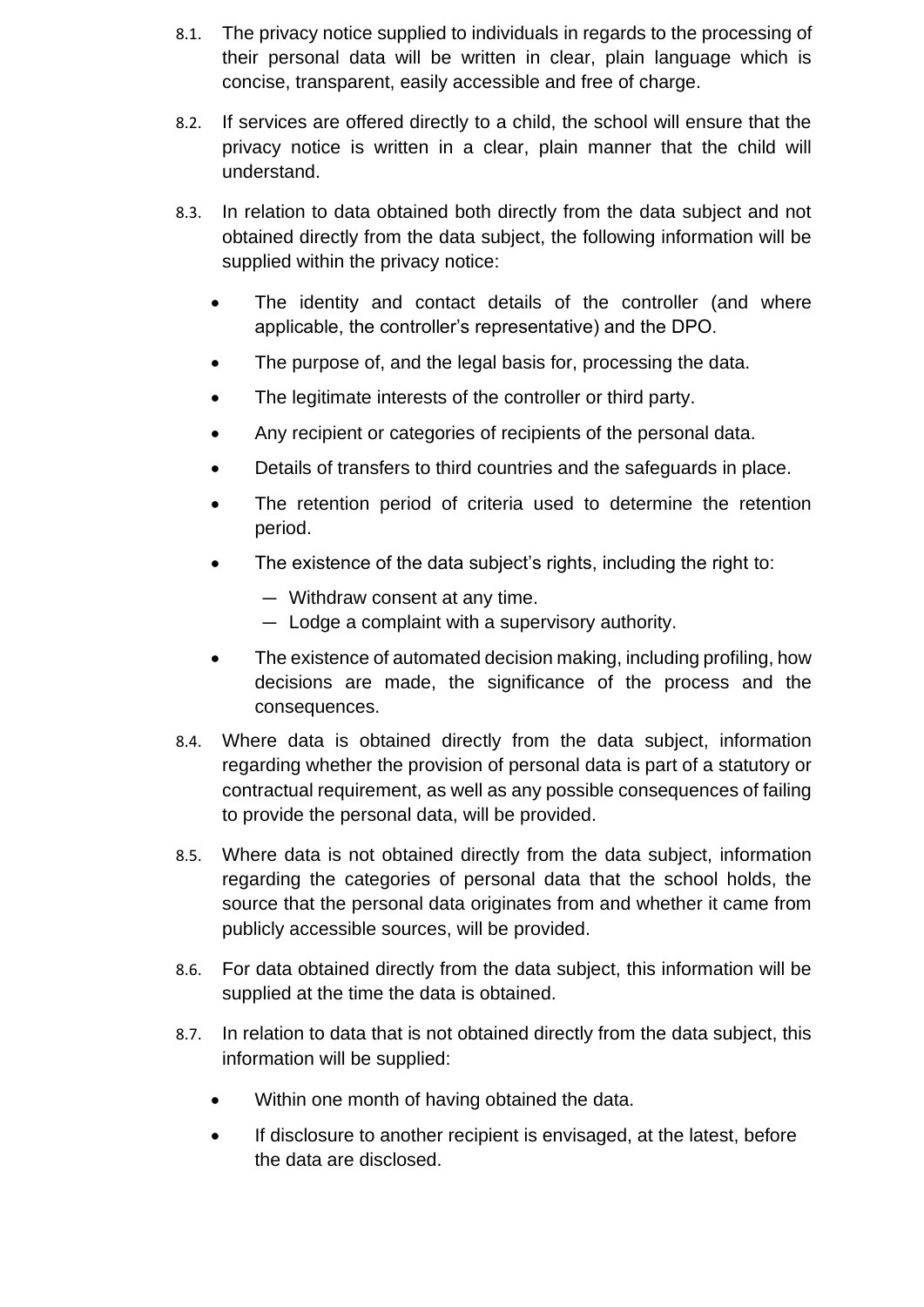- 8.1. The privacy notice supplied to individuals in regards to the processing of their personal data will be written in clear, plain language which is concise, transparent, easily accessible and free of charge.
- 8.2. If services are offered directly to a child, the school will ensure that the privacy notice is written in a clear, plain manner that the child will understand.
- 8.3. In relation to data obtained both directly from the data subject and not obtained directly from the data subject, the following information will be supplied within the privacy notice:
	- The identity and contact details of the controller (and where applicable, the controller's representative) and the DPO.
	- The purpose of, and the legal basis for, processing the data.
	- The legitimate interests of the controller or third party.
	- Any recipient or categories of recipients of the personal data.
	- Details of transfers to third countries and the safeguards in place.
	- The retention period of criteria used to determine the retention period.
	- The existence of the data subject's rights, including the right to:
		- Withdraw consent at any time.
		- Lodge a complaint with a supervisory authority.
	- The existence of automated decision making, including profiling, how decisions are made, the significance of the process and the consequences.
- 8.4. Where data is obtained directly from the data subject, information regarding whether the provision of personal data is part of a statutory or contractual requirement, as well as any possible consequences of failing to provide the personal data, will be provided.
- 8.5. Where data is not obtained directly from the data subject, information regarding the categories of personal data that the school holds, the source that the personal data originates from and whether it came from publicly accessible sources, will be provided.
- 8.6. For data obtained directly from the data subject, this information will be supplied at the time the data is obtained.
- 8.7. In relation to data that is not obtained directly from the data subject, this information will be supplied:
	- Within one month of having obtained the data.
	- If disclosure to another recipient is envisaged, at the latest, before the data are disclosed.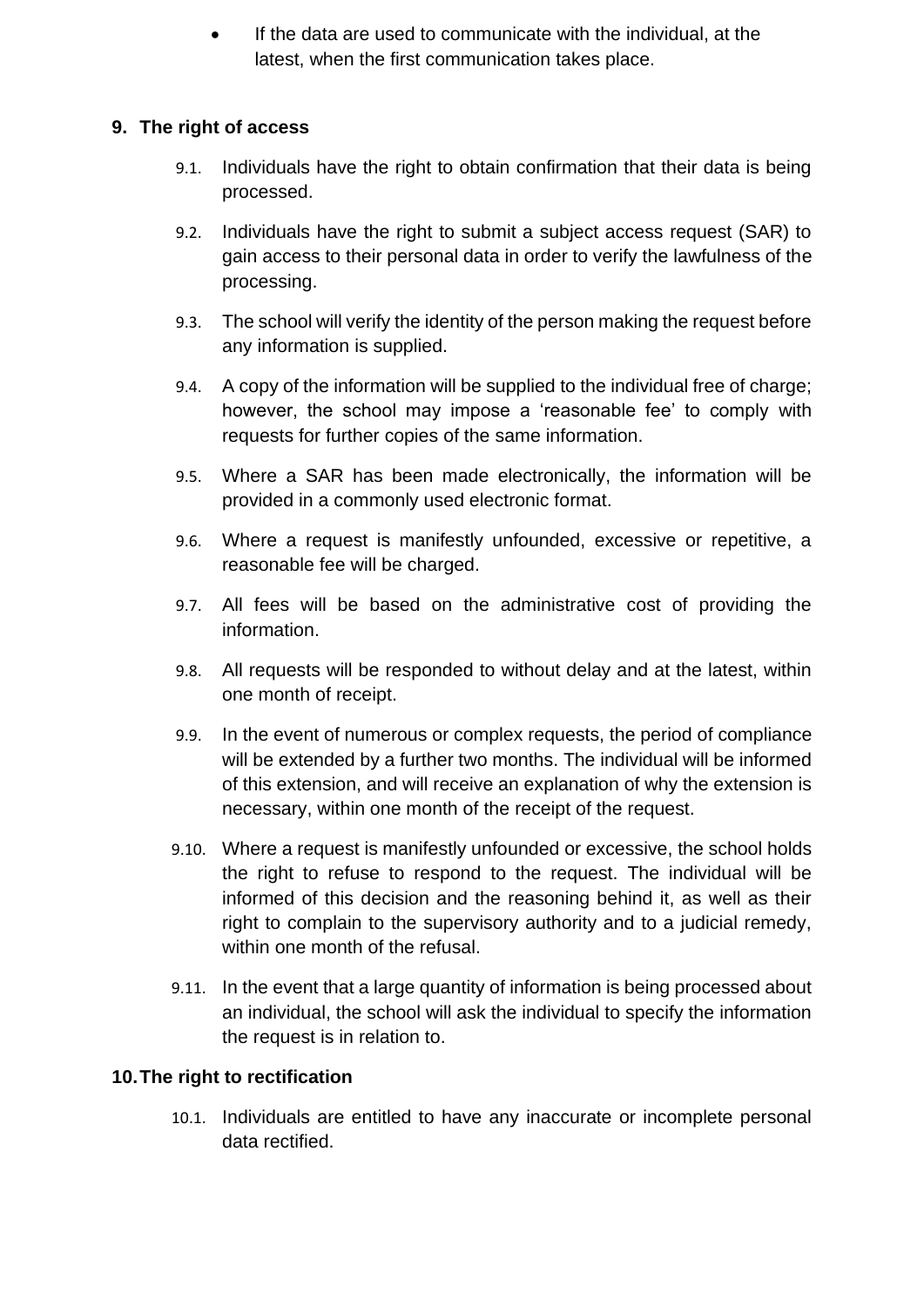If the data are used to communicate with the individual, at the latest, when the first communication takes place.

#### <span id="page-8-0"></span>**9. The right of access**

- 9.1. Individuals have the right to obtain confirmation that their data is being processed.
- 9.2. Individuals have the right to submit a subject access request (SAR) to gain access to their personal data in order to verify the lawfulness of the processing.
- 9.3. The school will verify the identity of the person making the request before any information is supplied.
- 9.4. A copy of the information will be supplied to the individual free of charge; however, the school may impose a 'reasonable fee' to comply with requests for further copies of the same information.
- 9.5. Where a SAR has been made electronically, the information will be provided in a commonly used electronic format.
- 9.6. Where a request is manifestly unfounded, excessive or repetitive, a reasonable fee will be charged.
- 9.7. All fees will be based on the administrative cost of providing the information.
- 9.8. All requests will be responded to without delay and at the latest, within one month of receipt.
- 9.9. In the event of numerous or complex requests, the period of compliance will be extended by a further two months. The individual will be informed of this extension, and will receive an explanation of why the extension is necessary, within one month of the receipt of the request.
- 9.10. Where a request is manifestly unfounded or excessive, the school holds the right to refuse to respond to the request. The individual will be informed of this decision and the reasoning behind it, as well as their right to complain to the supervisory authority and to a judicial remedy, within one month of the refusal.
- 9.11. In the event that a large quantity of information is being processed about an individual, the school will ask the individual to specify the information the request is in relation to.

#### <span id="page-8-1"></span>**10.The right to rectification**

10.1. Individuals are entitled to have any inaccurate or incomplete personal data rectified.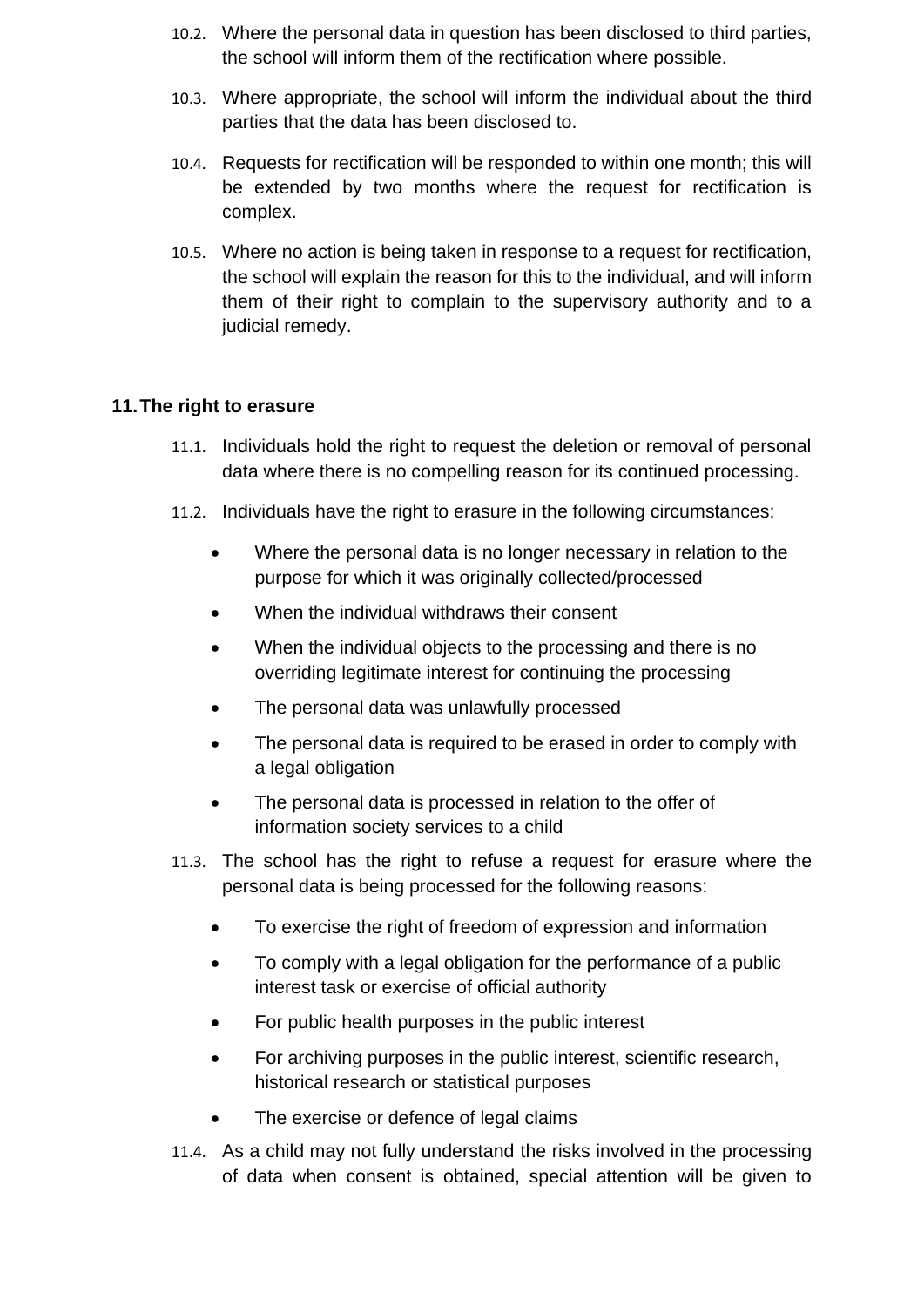- 10.2. Where the personal data in question has been disclosed to third parties, the school will inform them of the rectification where possible.
- 10.3. Where appropriate, the school will inform the individual about the third parties that the data has been disclosed to.
- 10.4. Requests for rectification will be responded to within one month; this will be extended by two months where the request for rectification is complex.
- 10.5. Where no action is being taken in response to a request for rectification, the school will explain the reason for this to the individual, and will inform them of their right to complain to the supervisory authority and to a judicial remedy.

#### <span id="page-9-0"></span>**11.The right to erasure**

- 11.1. Individuals hold the right to request the deletion or removal of personal data where there is no compelling reason for its continued processing.
- 11.2. Individuals have the right to erasure in the following circumstances:
	- Where the personal data is no longer necessary in relation to the purpose for which it was originally collected/processed
	- When the individual withdraws their consent
	- When the individual objects to the processing and there is no overriding legitimate interest for continuing the processing
	- The personal data was unlawfully processed
	- The personal data is required to be erased in order to comply with a legal obligation
	- The personal data is processed in relation to the offer of information society services to a child
- 11.3. The school has the right to refuse a request for erasure where the personal data is being processed for the following reasons:
	- To exercise the right of freedom of expression and information
	- To comply with a legal obligation for the performance of a public interest task or exercise of official authority
	- For public health purposes in the public interest
	- For archiving purposes in the public interest, scientific research, historical research or statistical purposes
	- The exercise or defence of legal claims
- 11.4. As a child may not fully understand the risks involved in the processing of data when consent is obtained, special attention will be given to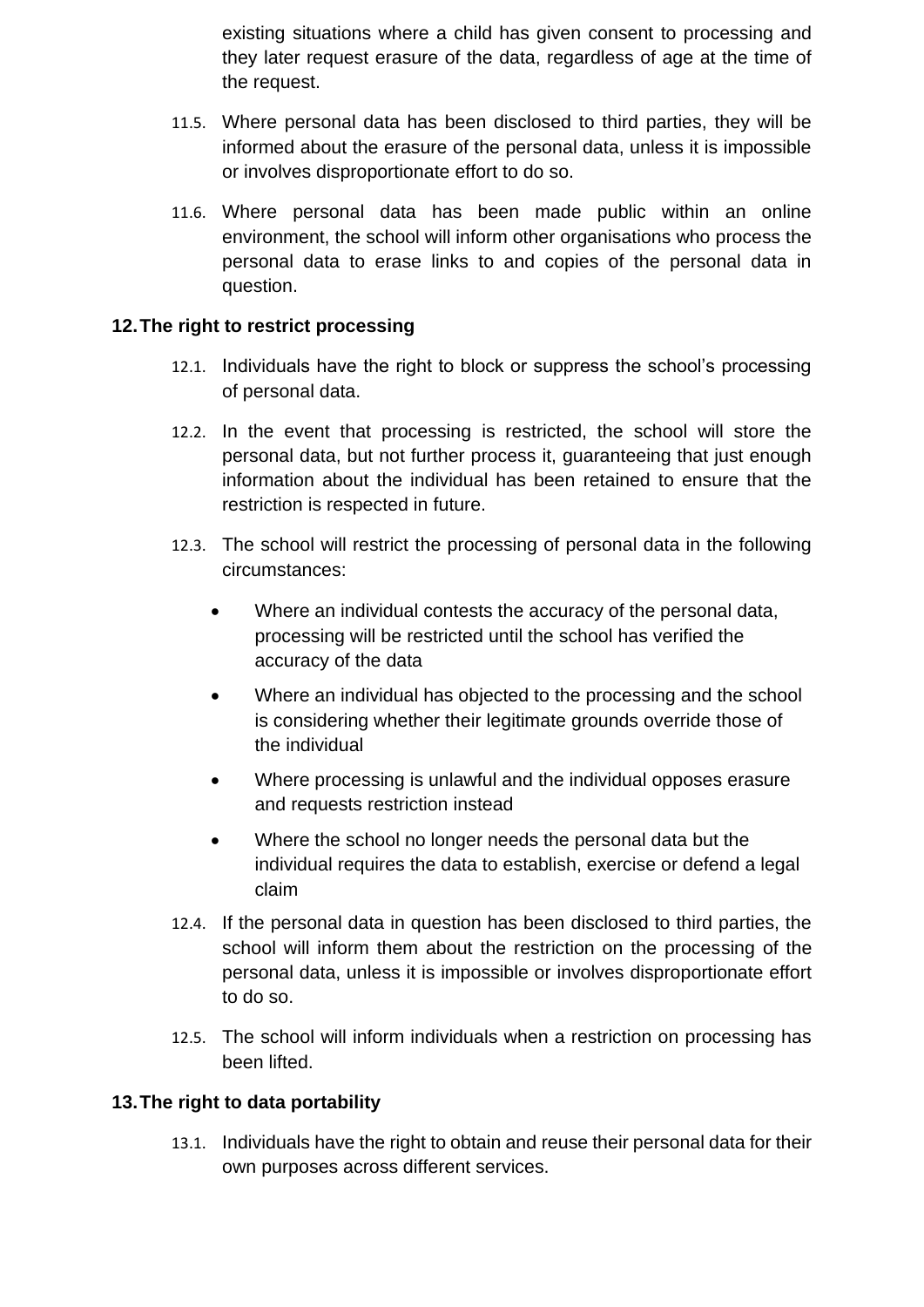existing situations where a child has given consent to processing and they later request erasure of the data, regardless of age at the time of the request.

- 11.5. Where personal data has been disclosed to third parties, they will be informed about the erasure of the personal data, unless it is impossible or involves disproportionate effort to do so.
- 11.6. Where personal data has been made public within an online environment, the school will inform other organisations who process the personal data to erase links to and copies of the personal data in question.

#### <span id="page-10-0"></span>**12.The right to restrict processing**

- 12.1. Individuals have the right to block or suppress the school's processing of personal data.
- 12.2. In the event that processing is restricted, the school will store the personal data, but not further process it, guaranteeing that just enough information about the individual has been retained to ensure that the restriction is respected in future.
- 12.3. The school will restrict the processing of personal data in the following circumstances:
	- Where an individual contests the accuracy of the personal data, processing will be restricted until the school has verified the accuracy of the data
	- Where an individual has objected to the processing and the school is considering whether their legitimate grounds override those of the individual
	- Where processing is unlawful and the individual opposes erasure and requests restriction instead
	- Where the school no longer needs the personal data but the individual requires the data to establish, exercise or defend a legal claim
- 12.4. If the personal data in question has been disclosed to third parties, the school will inform them about the restriction on the processing of the personal data, unless it is impossible or involves disproportionate effort to do so.
- 12.5. The school will inform individuals when a restriction on processing has been lifted.

#### <span id="page-10-1"></span>**13.The right to data portability**

13.1. Individuals have the right to obtain and reuse their personal data for their own purposes across different services.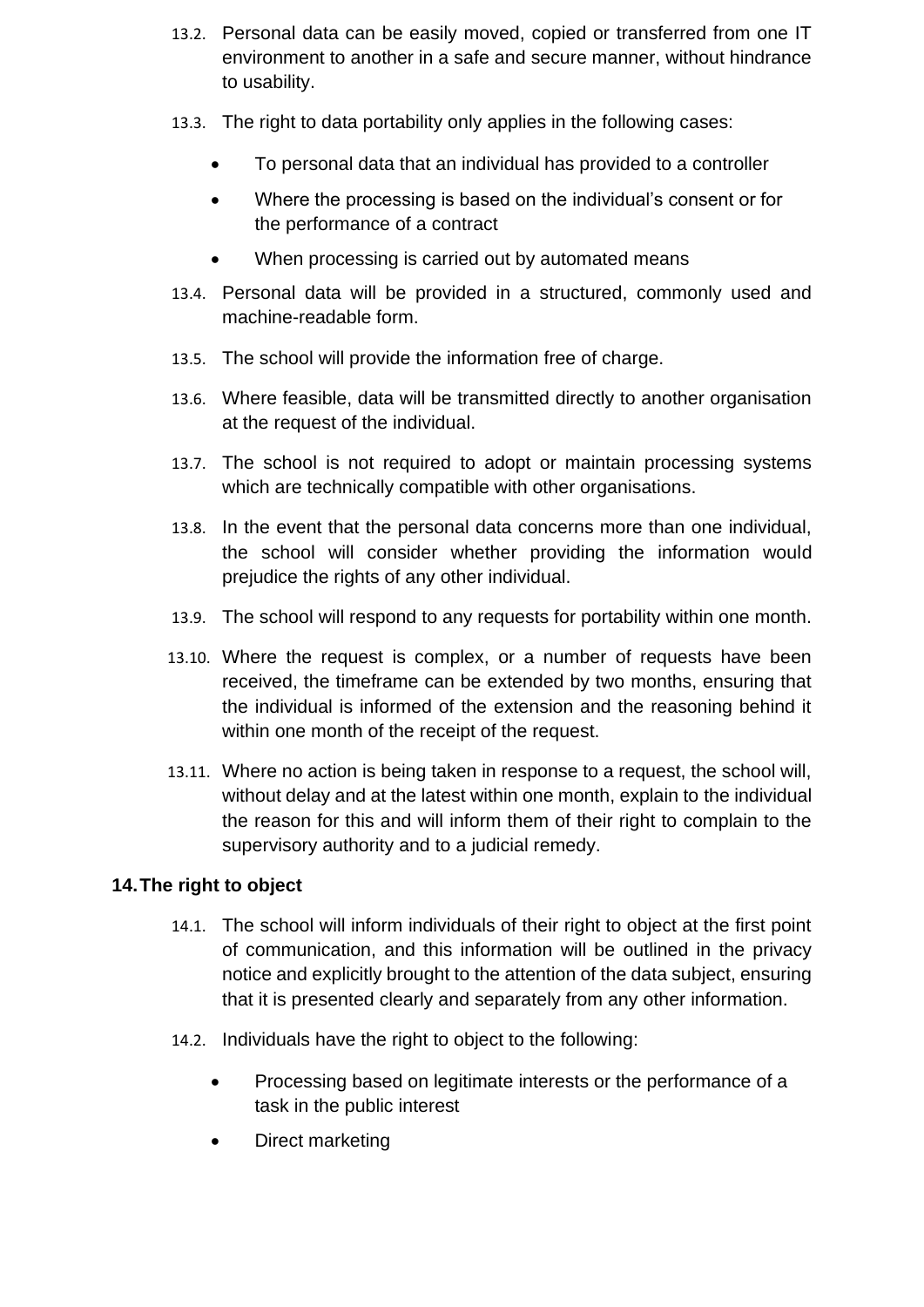- 13.2. Personal data can be easily moved, copied or transferred from one IT environment to another in a safe and secure manner, without hindrance to usability.
- 13.3. The right to data portability only applies in the following cases:
	- To personal data that an individual has provided to a controller
	- Where the processing is based on the individual's consent or for the performance of a contract
	- When processing is carried out by automated means
- 13.4. Personal data will be provided in a structured, commonly used and machine-readable form.
- 13.5. The school will provide the information free of charge.
- 13.6. Where feasible, data will be transmitted directly to another organisation at the request of the individual.
- 13.7. The school is not required to adopt or maintain processing systems which are technically compatible with other organisations.
- 13.8. In the event that the personal data concerns more than one individual, the school will consider whether providing the information would prejudice the rights of any other individual.
- 13.9. The school will respond to any requests for portability within one month.
- 13.10. Where the request is complex, or a number of requests have been received, the timeframe can be extended by two months, ensuring that the individual is informed of the extension and the reasoning behind it within one month of the receipt of the request.
- 13.11. Where no action is being taken in response to a request, the school will, without delay and at the latest within one month, explain to the individual the reason for this and will inform them of their right to complain to the supervisory authority and to a judicial remedy.

#### <span id="page-11-0"></span>**14.The right to object**

- 14.1. The school will inform individuals of their right to object at the first point of communication, and this information will be outlined in the privacy notice and explicitly brought to the attention of the data subject, ensuring that it is presented clearly and separately from any other information.
- 14.2. Individuals have the right to object to the following:
	- Processing based on legitimate interests or the performance of a task in the public interest
	- Direct marketing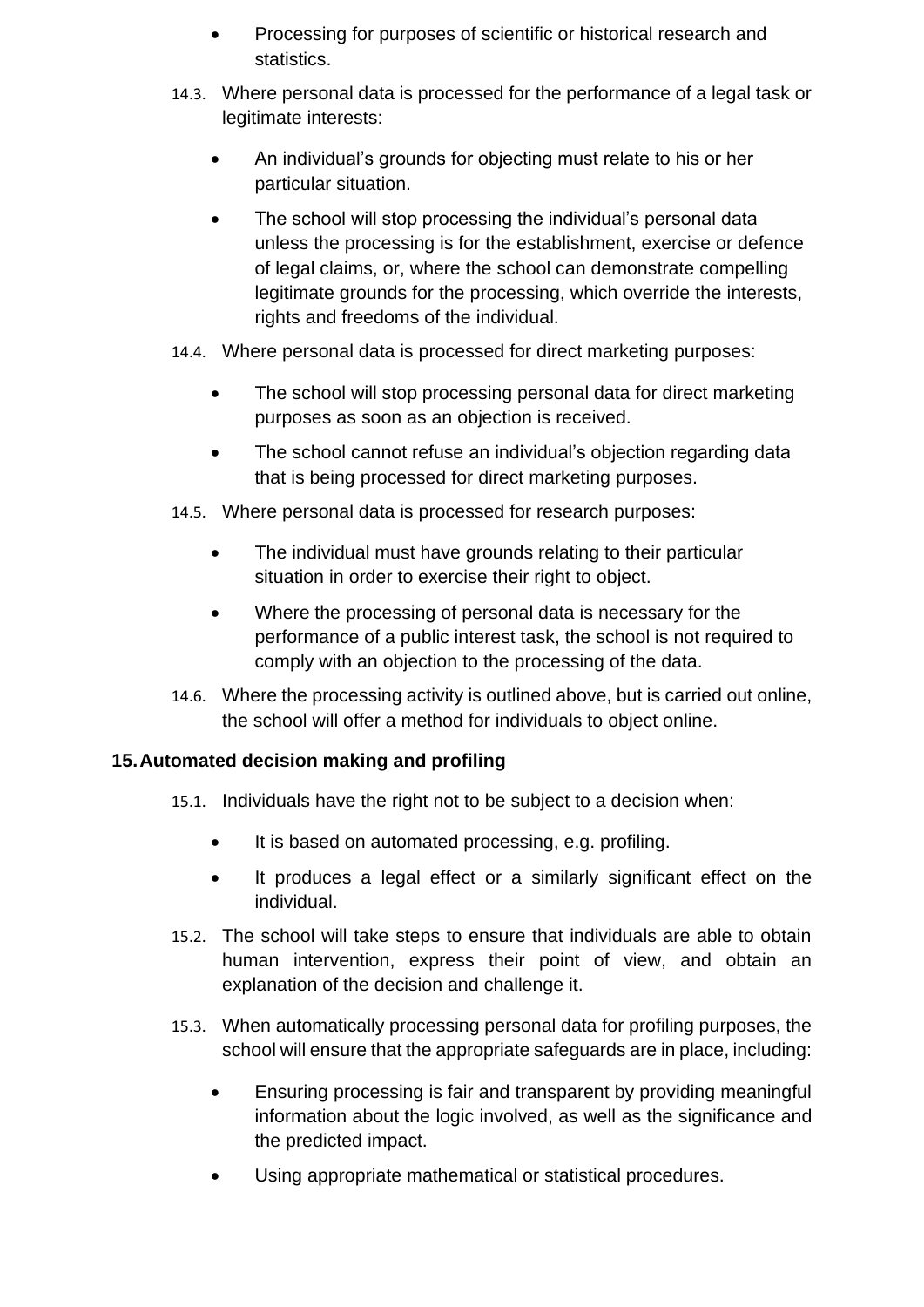- Processing for purposes of scientific or historical research and statistics.
- 14.3. Where personal data is processed for the performance of a legal task or legitimate interests:
	- An individual's grounds for objecting must relate to his or her particular situation.
	- The school will stop processing the individual's personal data unless the processing is for the establishment, exercise or defence of legal claims, or, where the school can demonstrate compelling legitimate grounds for the processing, which override the interests, rights and freedoms of the individual.
- 14.4. Where personal data is processed for direct marketing purposes:
	- The school will stop processing personal data for direct marketing purposes as soon as an objection is received.
	- The school cannot refuse an individual's objection regarding data that is being processed for direct marketing purposes.
- 14.5. Where personal data is processed for research purposes:
	- The individual must have grounds relating to their particular situation in order to exercise their right to object.
	- Where the processing of personal data is necessary for the performance of a public interest task, the school is not required to comply with an objection to the processing of the data.
- 14.6. Where the processing activity is outlined above, but is carried out online, the school will offer a method for individuals to object online.

#### <span id="page-12-0"></span>**15.Automated decision making and profiling**

- 15.1. Individuals have the right not to be subject to a decision when:
	- It is based on automated processing, e.g. profiling.
	- It produces a legal effect or a similarly significant effect on the individual.
- 15.2. The school will take steps to ensure that individuals are able to obtain human intervention, express their point of view, and obtain an explanation of the decision and challenge it.
- 15.3. When automatically processing personal data for profiling purposes, the school will ensure that the appropriate safeguards are in place, including:
	- Ensuring processing is fair and transparent by providing meaningful information about the logic involved, as well as the significance and the predicted impact.
	- Using appropriate mathematical or statistical procedures.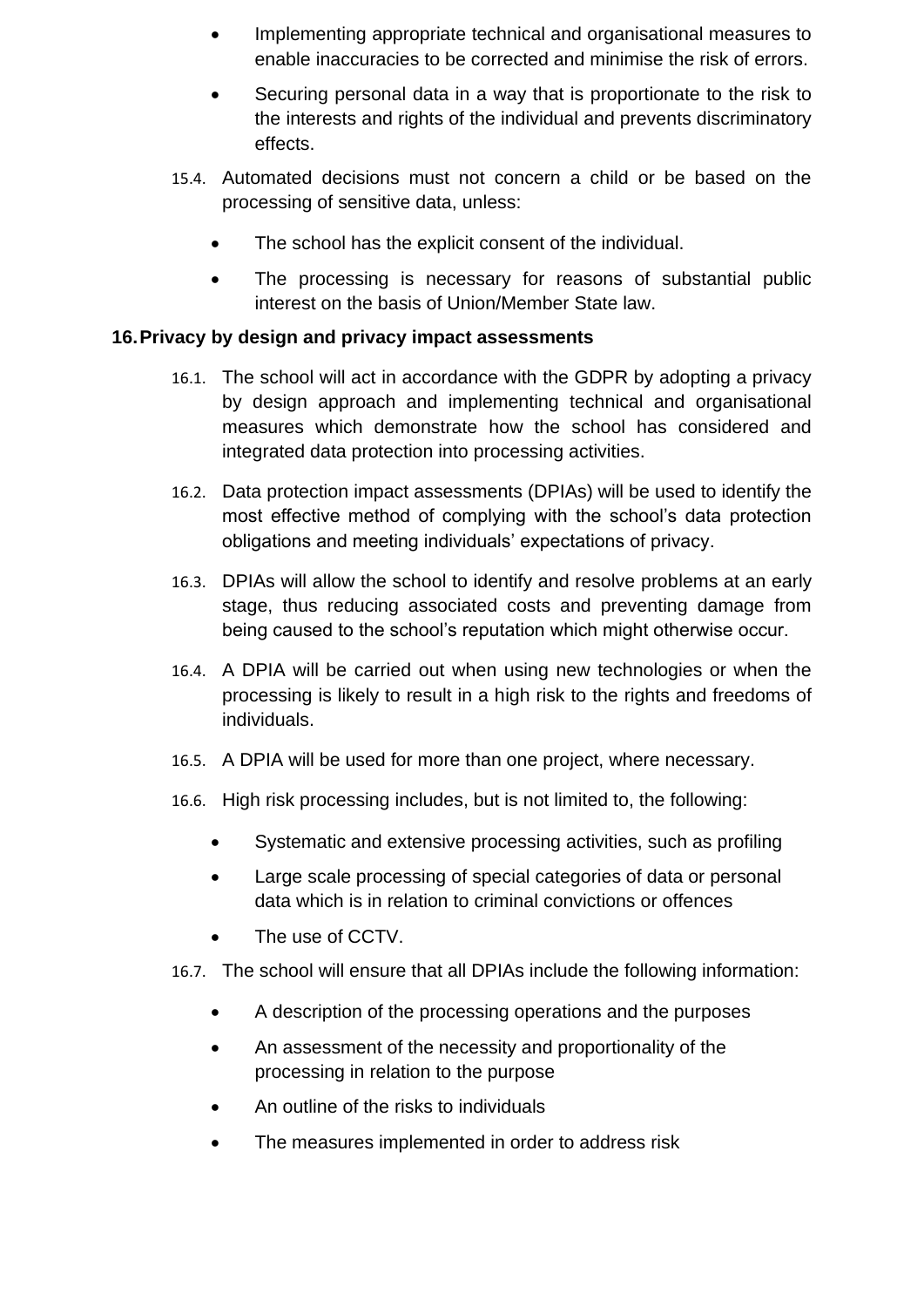- Implementing appropriate technical and organisational measures to enable inaccuracies to be corrected and minimise the risk of errors.
- Securing personal data in a way that is proportionate to the risk to the interests and rights of the individual and prevents discriminatory effects.
- 15.4. Automated decisions must not concern a child or be based on the processing of sensitive data, unless:
	- The school has the explicit consent of the individual.
	- The processing is necessary for reasons of substantial public interest on the basis of Union/Member State law.

#### <span id="page-13-0"></span>**16.Privacy by design and privacy impact assessments**

- 16.1. The school will act in accordance with the GDPR by adopting a privacy by design approach and implementing technical and organisational measures which demonstrate how the school has considered and integrated data protection into processing activities.
- 16.2. Data protection impact assessments (DPIAs) will be used to identify the most effective method of complying with the school's data protection obligations and meeting individuals' expectations of privacy.
- 16.3. DPIAs will allow the school to identify and resolve problems at an early stage, thus reducing associated costs and preventing damage from being caused to the school's reputation which might otherwise occur.
- 16.4. A DPIA will be carried out when using new technologies or when the processing is likely to result in a high risk to the rights and freedoms of individuals.
- 16.5. A DPIA will be used for more than one project, where necessary.
- 16.6. High risk processing includes, but is not limited to, the following:
	- Systematic and extensive processing activities, such as profiling
	- Large scale processing of special categories of data or personal data which is in relation to criminal convictions or offences
	- The use of CCTV.
- 16.7. The school will ensure that all DPIAs include the following information:
	- A description of the processing operations and the purposes
	- An assessment of the necessity and proportionality of the processing in relation to the purpose
	- An outline of the risks to individuals
	- The measures implemented in order to address risk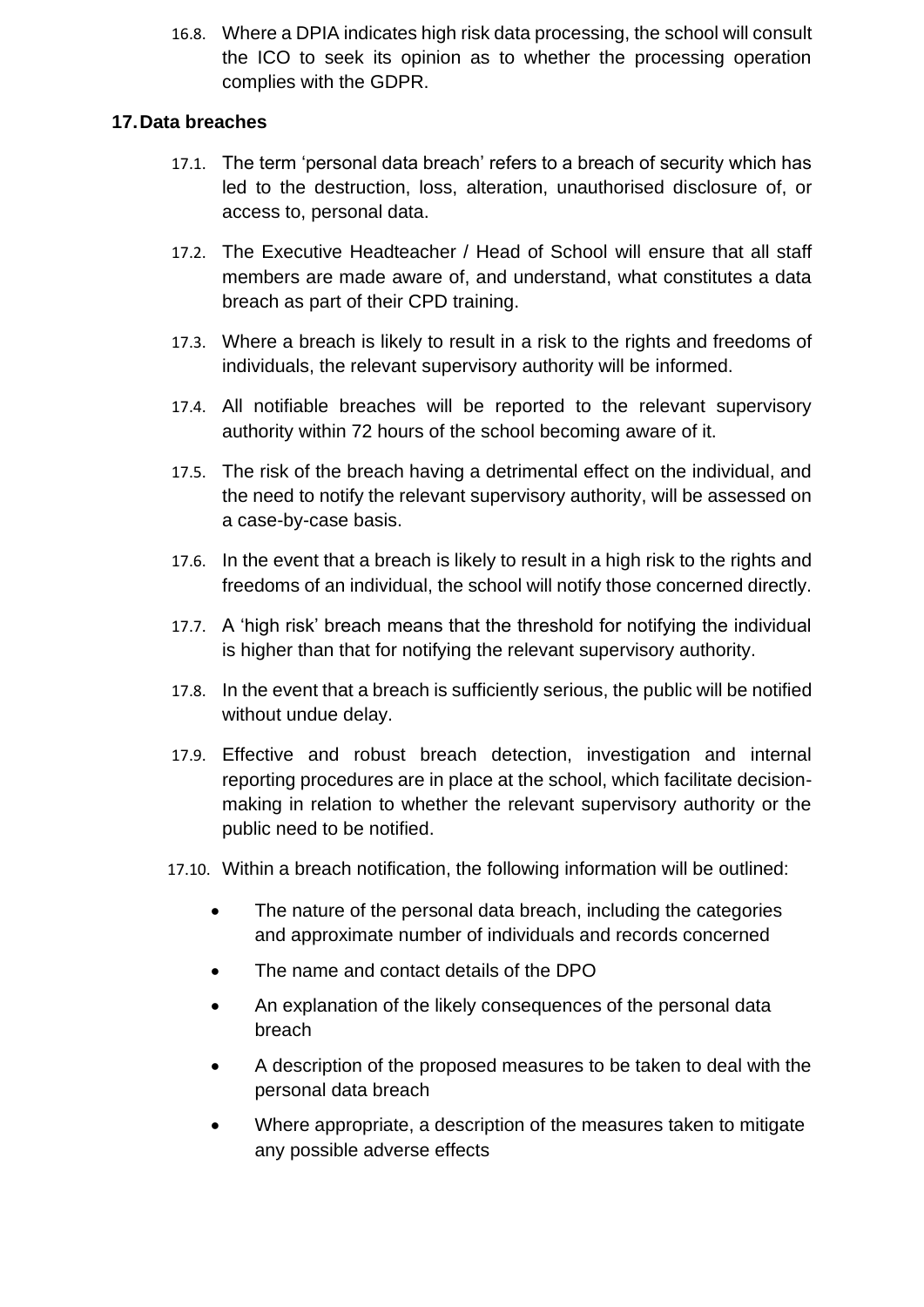16.8. Where a DPIA indicates high risk data processing, the school will consult the ICO to seek its opinion as to whether the processing operation complies with the GDPR.

#### <span id="page-14-0"></span>**17.Data breaches**

- 17.1. The term 'personal data breach' refers to a breach of security which has led to the destruction, loss, alteration, unauthorised disclosure of, or access to, personal data.
- 17.2. The Executive Headteacher / Head of School will ensure that all staff members are made aware of, and understand, what constitutes a data breach as part of their CPD training.
- 17.3. Where a breach is likely to result in a risk to the rights and freedoms of individuals, the relevant supervisory authority will be informed.
- 17.4. All notifiable breaches will be reported to the relevant supervisory authority within 72 hours of the school becoming aware of it.
- 17.5. The risk of the breach having a detrimental effect on the individual, and the need to notify the relevant supervisory authority, will be assessed on a case-by-case basis.
- 17.6. In the event that a breach is likely to result in a high risk to the rights and freedoms of an individual, the school will notify those concerned directly.
- 17.7. A 'high risk' breach means that the threshold for notifying the individual is higher than that for notifying the relevant supervisory authority.
- 17.8. In the event that a breach is sufficiently serious, the public will be notified without undue delay.
- 17.9. Effective and robust breach detection, investigation and internal reporting procedures are in place at the school, which facilitate decisionmaking in relation to whether the relevant supervisory authority or the public need to be notified.
- 17.10. Within a breach notification, the following information will be outlined:
	- The nature of the personal data breach, including the categories and approximate number of individuals and records concerned
	- The name and contact details of the DPO
	- An explanation of the likely consequences of the personal data breach
	- A description of the proposed measures to be taken to deal with the personal data breach
	- Where appropriate, a description of the measures taken to mitigate any possible adverse effects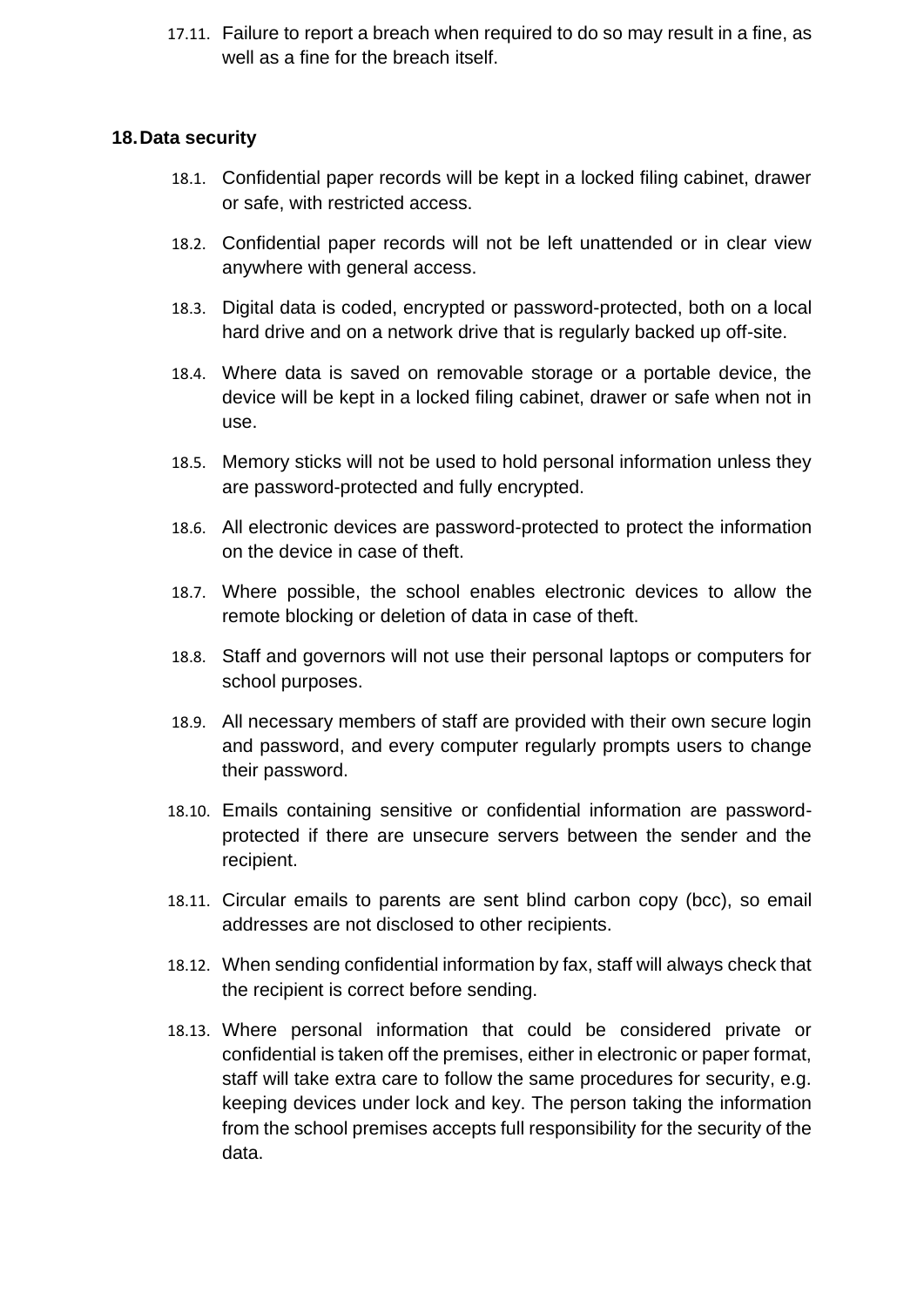17.11. Failure to report a breach when required to do so may result in a fine, as well as a fine for the breach itself.

#### <span id="page-15-0"></span>**18.Data security**

- 18.1. Confidential paper records will be kept in a locked filing cabinet, drawer or safe, with restricted access.
- 18.2. Confidential paper records will not be left unattended or in clear view anywhere with general access.
- 18.3. Digital data is coded, encrypted or password-protected, both on a local hard drive and on a network drive that is regularly backed up off-site.
- 18.4. Where data is saved on removable storage or a portable device, the device will be kept in a locked filing cabinet, drawer or safe when not in use.
- 18.5. Memory sticks will not be used to hold personal information unless they are password-protected and fully encrypted.
- 18.6. All electronic devices are password-protected to protect the information on the device in case of theft.
- 18.7. Where possible, the school enables electronic devices to allow the remote blocking or deletion of data in case of theft.
- 18.8. Staff and governors will not use their personal laptops or computers for school purposes.
- 18.9. All necessary members of staff are provided with their own secure login and password, and every computer regularly prompts users to change their password.
- 18.10. Emails containing sensitive or confidential information are passwordprotected if there are unsecure servers between the sender and the recipient.
- 18.11. Circular emails to parents are sent blind carbon copy (bcc), so email addresses are not disclosed to other recipients.
- 18.12. When sending confidential information by fax, staff will always check that the recipient is correct before sending.
- 18.13. Where personal information that could be considered private or confidential is taken off the premises, either in electronic or paper format, staff will take extra care to follow the same procedures for security, e.g. keeping devices under lock and key. The person taking the information from the school premises accepts full responsibility for the security of the data.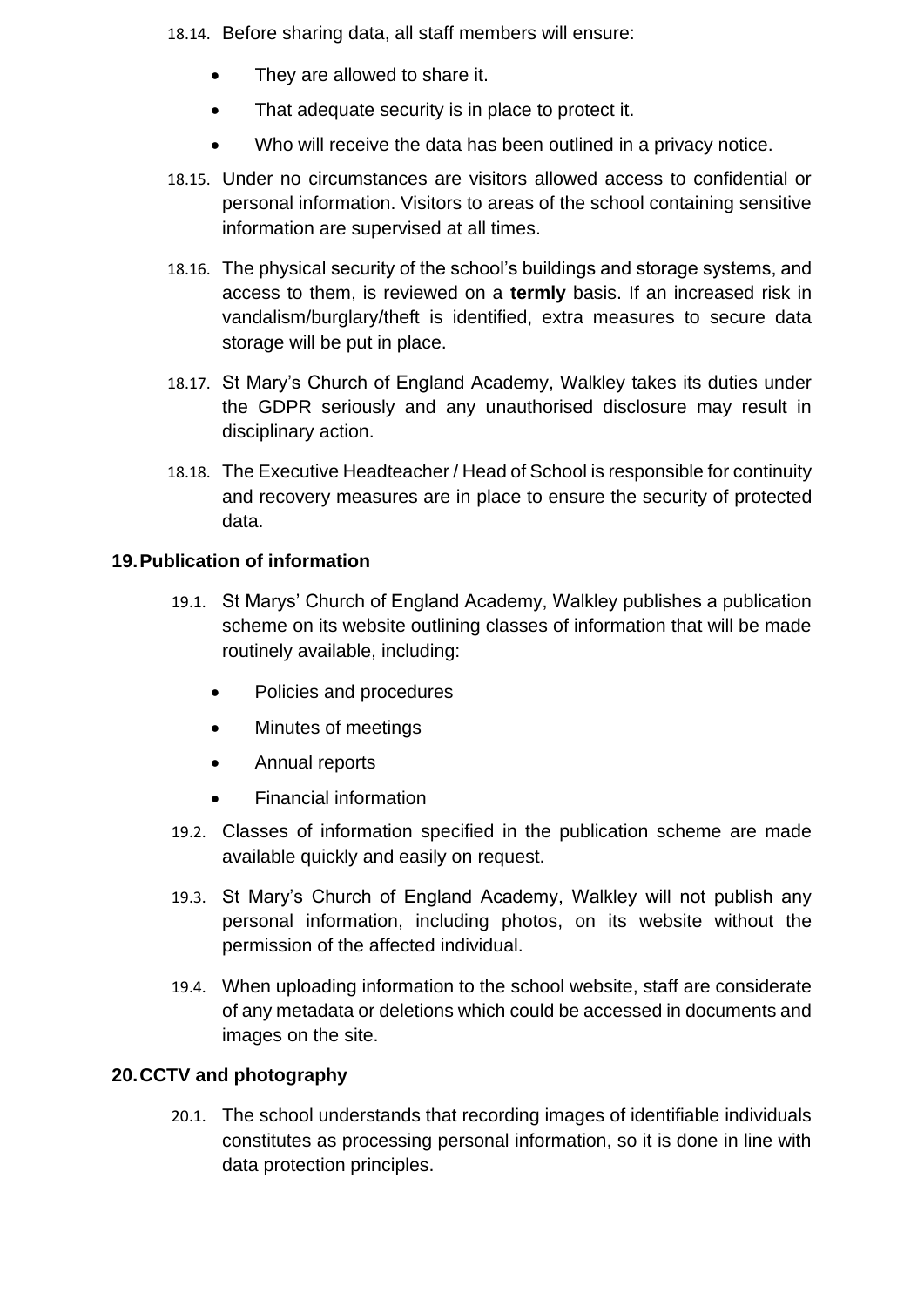- 18.14. Before sharing data, all staff members will ensure:
	- They are allowed to share it.
	- That adequate security is in place to protect it.
	- Who will receive the data has been outlined in a privacy notice.
- 18.15. Under no circumstances are visitors allowed access to confidential or personal information. Visitors to areas of the school containing sensitive information are supervised at all times.
- 18.16. The physical security of the school's buildings and storage systems, and access to them, is reviewed on a **termly** basis. If an increased risk in vandalism/burglary/theft is identified, extra measures to secure data storage will be put in place.
- 18.17. St Mary's Church of England Academy, Walkley takes its duties under the GDPR seriously and any unauthorised disclosure may result in disciplinary action.
- 18.18. The Executive Headteacher / Head of School is responsible for continuity and recovery measures are in place to ensure the security of protected data.

#### <span id="page-16-0"></span>**19.Publication of information**

- 19.1. St Marys' Church of England Academy, Walkley publishes a publication scheme on its website outlining classes of information that will be made routinely available, including:
	- Policies and procedures
	- Minutes of meetings
	- Annual reports
	- Financial information
- 19.2. Classes of information specified in the publication scheme are made available quickly and easily on request.
- 19.3. St Mary's Church of England Academy, Walkley will not publish any personal information, including photos, on its website without the permission of the affected individual.
- 19.4. When uploading information to the school website, staff are considerate of any metadata or deletions which could be accessed in documents and images on the site.

#### <span id="page-16-1"></span>**20.CCTV and photography**

20.1. The school understands that recording images of identifiable individuals constitutes as processing personal information, so it is done in line with data protection principles.